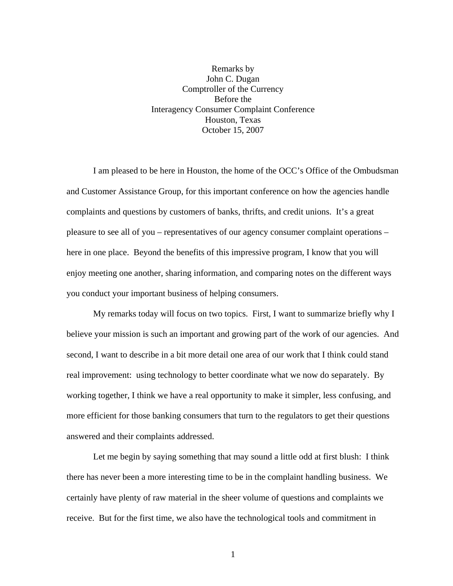## Remarks by John C. Dugan Comptroller of the Currency Before the Interagency Consumer Complaint Conference Houston, Texas October 15, 2007

I am pleased to be here in Houston, the home of the OCC's Office of the Ombudsman and Customer Assistance Group, for this important conference on how the agencies handle complaints and questions by customers of banks, thrifts, and credit unions. It's a great pleasure to see all of you – representatives of our agency consumer complaint operations – here in one place. Beyond the benefits of this impressive program, I know that you will enjoy meeting one another, sharing information, and comparing notes on the different ways you conduct your important business of helping consumers.

My remarks today will focus on two topics. First, I want to summarize briefly why I believe your mission is such an important and growing part of the work of our agencies. And second, I want to describe in a bit more detail one area of our work that I think could stand real improvement: using technology to better coordinate what we now do separately. By working together, I think we have a real opportunity to make it simpler, less confusing, and more efficient for those banking consumers that turn to the regulators to get their questions answered and their complaints addressed.

Let me begin by saying something that may sound a little odd at first blush: I think there has never been a more interesting time to be in the complaint handling business. We certainly have plenty of raw material in the sheer volume of questions and complaints we receive. But for the first time, we also have the technological tools and commitment in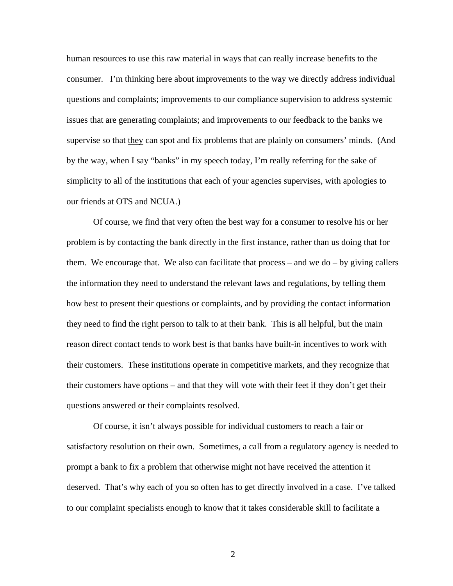human resources to use this raw material in ways that can really increase benefits to the consumer. I'm thinking here about improvements to the way we directly address individual questions and complaints; improvements to our compliance supervision to address systemic issues that are generating complaints; and improvements to our feedback to the banks we supervise so that they can spot and fix problems that are plainly on consumers' minds. (And by the way, when I say "banks" in my speech today, I'm really referring for the sake of simplicity to all of the institutions that each of your agencies supervises, with apologies to our friends at OTS and NCUA.)

Of course, we find that very often the best way for a consumer to resolve his or her problem is by contacting the bank directly in the first instance, rather than us doing that for them. We encourage that. We also can facilitate that process  $-$  and we do  $-$  by giving callers the information they need to understand the relevant laws and regulations, by telling them how best to present their questions or complaints, and by providing the contact information they need to find the right person to talk to at their bank. This is all helpful, but the main reason direct contact tends to work best is that banks have built-in incentives to work with their customers. These institutions operate in competitive markets, and they recognize that their customers have options – and that they will vote with their feet if they don't get their questions answered or their complaints resolved.

Of course, it isn't always possible for individual customers to reach a fair or satisfactory resolution on their own. Sometimes, a call from a regulatory agency is needed to prompt a bank to fix a problem that otherwise might not have received the attention it deserved. That's why each of you so often has to get directly involved in a case. I've talked to our complaint specialists enough to know that it takes considerable skill to facilitate a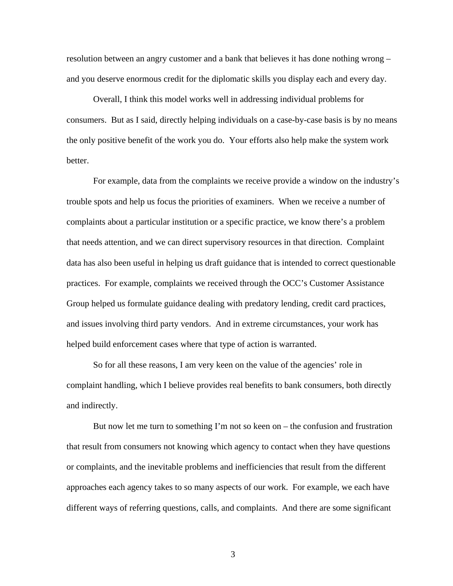resolution between an angry customer and a bank that believes it has done nothing wrong – and you deserve enormous credit for the diplomatic skills you display each and every day.

 Overall, I think this model works well in addressing individual problems for consumers. But as I said, directly helping individuals on a case-by-case basis is by no means the only positive benefit of the work you do. Your efforts also help make the system work better.

 For example, data from the complaints we receive provide a window on the industry's trouble spots and help us focus the priorities of examiners. When we receive a number of complaints about a particular institution or a specific practice, we know there's a problem that needs attention, and we can direct supervisory resources in that direction. Complaint data has also been useful in helping us draft guidance that is intended to correct questionable practices. For example, complaints we received through the OCC's Customer Assistance Group helped us formulate guidance dealing with predatory lending, credit card practices, and issues involving third party vendors. And in extreme circumstances, your work has helped build enforcement cases where that type of action is warranted.

So for all these reasons, I am very keen on the value of the agencies' role in complaint handling, which I believe provides real benefits to bank consumers, both directly and indirectly.

But now let me turn to something I'm not so keen on – the confusion and frustration that result from consumers not knowing which agency to contact when they have questions or complaints, and the inevitable problems and inefficiencies that result from the different approaches each agency takes to so many aspects of our work. For example, we each have different ways of referring questions, calls, and complaints. And there are some significant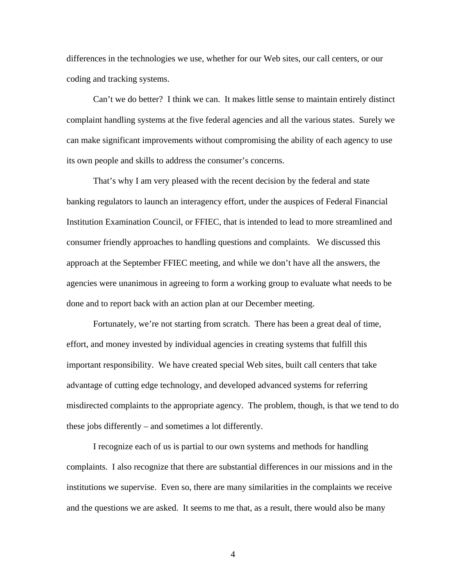differences in the technologies we use, whether for our Web sites, our call centers, or our coding and tracking systems.

Can't we do better? I think we can. It makes little sense to maintain entirely distinct complaint handling systems at the five federal agencies and all the various states. Surely we can make significant improvements without compromising the ability of each agency to use its own people and skills to address the consumer's concerns.

That's why I am very pleased with the recent decision by the federal and state banking regulators to launch an interagency effort, under the auspices of Federal Financial Institution Examination Council, or FFIEC, that is intended to lead to more streamlined and consumer friendly approaches to handling questions and complaints. We discussed this approach at the September FFIEC meeting, and while we don't have all the answers, the agencies were unanimous in agreeing to form a working group to evaluate what needs to be done and to report back with an action plan at our December meeting.

 Fortunately, we're not starting from scratch. There has been a great deal of time, effort, and money invested by individual agencies in creating systems that fulfill this important responsibility. We have created special Web sites, built call centers that take advantage of cutting edge technology, and developed advanced systems for referring misdirected complaints to the appropriate agency. The problem, though, is that we tend to do these jobs differently – and sometimes a lot differently.

 I recognize each of us is partial to our own systems and methods for handling complaints. I also recognize that there are substantial differences in our missions and in the institutions we supervise. Even so, there are many similarities in the complaints we receive and the questions we are asked. It seems to me that, as a result, there would also be many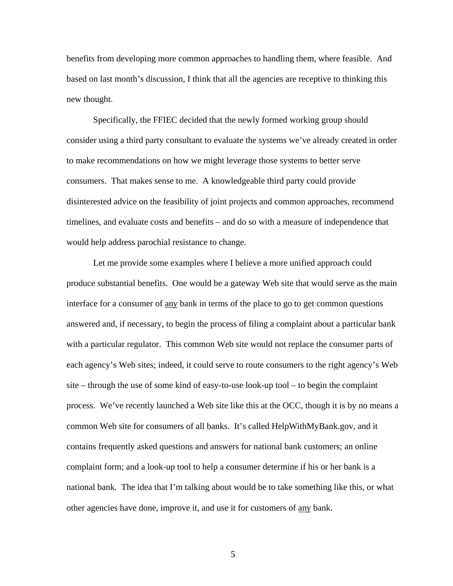benefits from developing more common approaches to handling them, where feasible. And based on last month's discussion, I think that all the agencies are receptive to thinking this new thought.

 Specifically, the FFIEC decided that the newly formed working group should consider using a third party consultant to evaluate the systems we've already created in order to make recommendations on how we might leverage those systems to better serve consumers. That makes sense to me. A knowledgeable third party could provide disinterested advice on the feasibility of joint projects and common approaches, recommend timelines, and evaluate costs and benefits – and do so with a measure of independence that would help address parochial resistance to change.

Let me provide some examples where I believe a more unified approach could produce substantial benefits. One would be a gateway Web site that would serve as the main interface for a consumer of any bank in terms of the place to go to get common questions answered and, if necessary, to begin the process of filing a complaint about a particular bank with a particular regulator. This common Web site would not replace the consumer parts of each agency's Web sites; indeed, it could serve to route consumers to the right agency's Web site – through the use of some kind of easy-to-use look-up tool – to begin the complaint process. We've recently launched a Web site like this at the OCC, though it is by no means a common Web site for consumers of all banks. It's called HelpWithMyBank.gov, and it contains frequently asked questions and answers for national bank customers; an online complaint form; and a look-up tool to help a consumer determine if his or her bank is a national bank. The idea that I'm talking about would be to take something like this, or what other agencies have done, improve it, and use it for customers of any bank.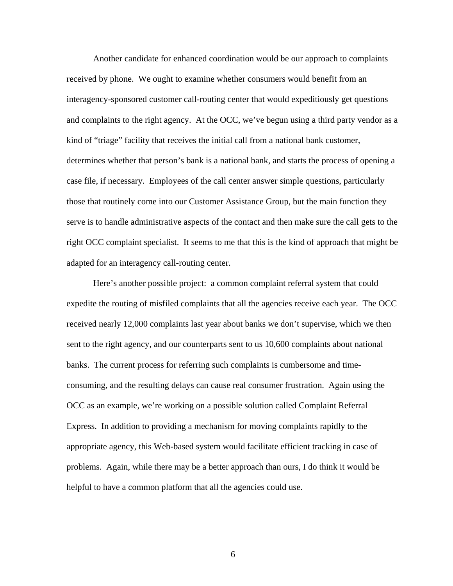Another candidate for enhanced coordination would be our approach to complaints received by phone. We ought to examine whether consumers would benefit from an interagency-sponsored customer call-routing center that would expeditiously get questions and complaints to the right agency. At the OCC, we've begun using a third party vendor as a kind of "triage" facility that receives the initial call from a national bank customer, determines whether that person's bank is a national bank, and starts the process of opening a case file, if necessary. Employees of the call center answer simple questions, particularly those that routinely come into our Customer Assistance Group, but the main function they serve is to handle administrative aspects of the contact and then make sure the call gets to the right OCC complaint specialist. It seems to me that this is the kind of approach that might be adapted for an interagency call-routing center.

Here's another possible project: a common complaint referral system that could expedite the routing of misfiled complaints that all the agencies receive each year. The OCC received nearly 12,000 complaints last year about banks we don't supervise, which we then sent to the right agency, and our counterparts sent to us 10,600 complaints about national banks. The current process for referring such complaints is cumbersome and timeconsuming, and the resulting delays can cause real consumer frustration. Again using the OCC as an example, we're working on a possible solution called Complaint Referral Express. In addition to providing a mechanism for moving complaints rapidly to the appropriate agency, this Web-based system would facilitate efficient tracking in case of problems. Again, while there may be a better approach than ours, I do think it would be helpful to have a common platform that all the agencies could use.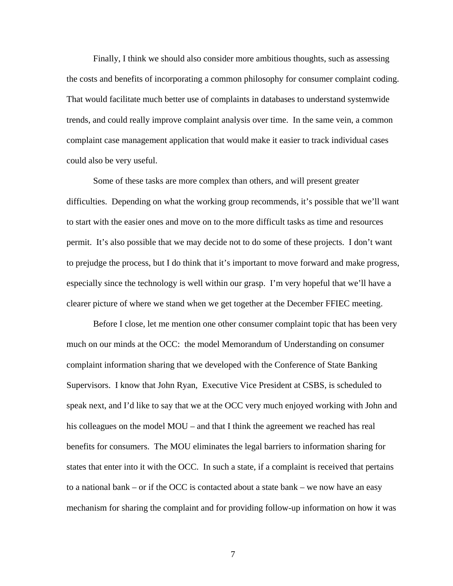Finally, I think we should also consider more ambitious thoughts, such as assessing the costs and benefits of incorporating a common philosophy for consumer complaint coding. That would facilitate much better use of complaints in databases to understand systemwide trends, and could really improve complaint analysis over time. In the same vein, a common complaint case management application that would make it easier to track individual cases could also be very useful.

Some of these tasks are more complex than others, and will present greater difficulties. Depending on what the working group recommends, it's possible that we'll want to start with the easier ones and move on to the more difficult tasks as time and resources permit. It's also possible that we may decide not to do some of these projects. I don't want to prejudge the process, but I do think that it's important to move forward and make progress, especially since the technology is well within our grasp. I'm very hopeful that we'll have a clearer picture of where we stand when we get together at the December FFIEC meeting.

 Before I close, let me mention one other consumer complaint topic that has been very much on our minds at the OCC: the model Memorandum of Understanding on consumer complaint information sharing that we developed with the Conference of State Banking Supervisors. I know that John Ryan, Executive Vice President at CSBS, is scheduled to speak next, and I'd like to say that we at the OCC very much enjoyed working with John and his colleagues on the model MOU – and that I think the agreement we reached has real benefits for consumers. The MOU eliminates the legal barriers to information sharing for states that enter into it with the OCC. In such a state, if a complaint is received that pertains to a national bank – or if the OCC is contacted about a state bank – we now have an easy mechanism for sharing the complaint and for providing follow-up information on how it was